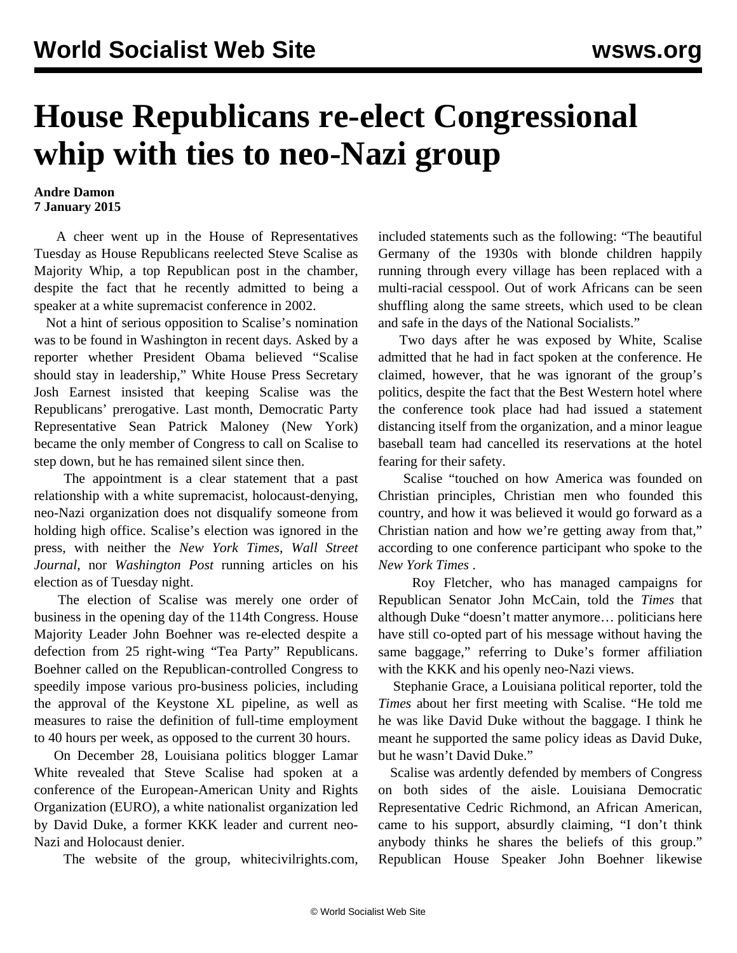## **House Republicans re-elect Congressional whip with ties to neo-Nazi group**

## **Andre Damon 7 January 2015**

 A cheer went up in the House of Representatives Tuesday as House Republicans reelected Steve Scalise as Majority Whip, a top Republican post in the chamber, despite the fact that he recently admitted to being a speaker at a white supremacist conference in 2002.

 Not a hint of serious opposition to Scalise's nomination was to be found in Washington in recent days. Asked by a reporter whether President Obama believed "Scalise should stay in leadership," White House Press Secretary Josh Earnest insisted that keeping Scalise was the Republicans' prerogative. Last month, Democratic Party Representative Sean Patrick Maloney (New York) became the only member of Congress to call on Scalise to step down, but he has remained silent since then.

 The appointment is a clear statement that a past relationship with a white supremacist, holocaust-denying, neo-Nazi organization does not disqualify someone from holding high office. Scalise's election was ignored in the press, with neither the *New York Times*, *Wall Street Journal*, nor *Washington Post* running articles on his election as of Tuesday night.

 The election of Scalise was merely one order of business in the opening day of the 114th Congress. House Majority Leader John Boehner was re-elected despite a defection from 25 right-wing "Tea Party" Republicans. Boehner called on the Republican-controlled Congress to speedily impose various pro-business policies, including the approval of the Keystone XL pipeline, as well as measures to raise the definition of full-time employment to 40 hours per week, as opposed to the current 30 hours.

 On December 28, Louisiana politics blogger Lamar White revealed that Steve Scalise had spoken at a conference of the European-American Unity and Rights Organization (EURO), a white nationalist organization led by David Duke, a former KKK leader and current neo-Nazi and Holocaust denier.

The website of the group, whitecivilrights.com,

included statements such as the following: "The beautiful Germany of the 1930s with blonde children happily running through every village has been replaced with a multi-racial cesspool. Out of work Africans can be seen shuffling along the same streets, which used to be clean and safe in the days of the National Socialists."

 Two days after he was exposed by White, Scalise admitted that he had in fact spoken at the conference. He claimed, however, that he was ignorant of the group's politics, despite the fact that the Best Western hotel where the conference took place had had issued a statement distancing itself from the organization, and a minor league baseball team had cancelled its reservations at the hotel fearing for their safety.

 Scalise "touched on how America was founded on Christian principles, Christian men who founded this country, and how it was believed it would go forward as a Christian nation and how we're getting away from that," according to one conference participant who spoke to the *New York Times* .

 Roy Fletcher, who has managed campaigns for Republican Senator John McCain, told the *Times* that although Duke "doesn't matter anymore… politicians here have still co-opted part of his message without having the same baggage," referring to Duke's former affiliation with the KKK and his openly neo-Nazi views.

 Stephanie Grace, a Louisiana political reporter, told the *Times* about her first meeting with Scalise. "He told me he was like David Duke without the baggage. I think he meant he supported the same policy ideas as David Duke, but he wasn't David Duke."

 Scalise was ardently defended by members of Congress on both sides of the aisle. Louisiana Democratic Representative Cedric Richmond, an African American, came to his support, absurdly claiming, "I don't think anybody thinks he shares the beliefs of this group." Republican House Speaker John Boehner likewise